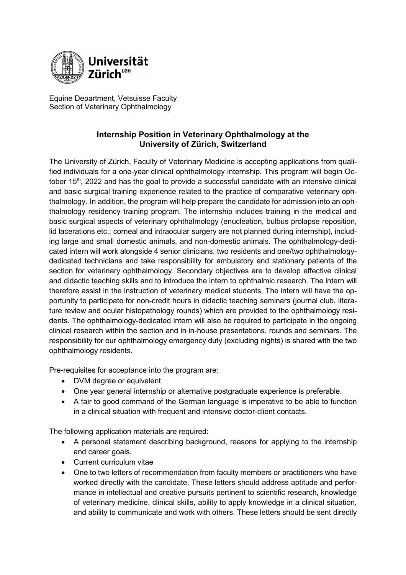

Equine Department, Vetsuisse Faculty Section of Veterinary Ophthalmology

## **Internship Position in Veterinary Ophthalmology at the University of Zürich, Switzerland**

The University of Zürich, Faculty of Veterinary Medicine is accepting applications from qualified individuals for a one-year clinical ophthalmology internship. This program will begin October  $15<sup>th</sup>$ , 2022 and has the goal to provide a successful candidate with an intensive clinical and basic surgical training experience related to the practice of comparative veterinary ophthalmology. In addition, the program will help prepare the candidate for admission into an ophthalmology residency training program. The internship includes training in the medical and basic surgical aspects of veterinary ophthalmology (enucleation, bulbus prolapse reposition, lid lacerations etc.; corneal and intraocular surgery are not planned during internship), including large and small domestic animals, and non-domestic animals. The ophthalmology-dedicated intern will work alongside 4 senior clinicians, two residents and one/two ophthalmologydedicated technicians and take responsibility for ambulatory and stationary patients of the section for veterinary ophthalmology. Secondary objectives are to develop effective clinical and didactic teaching skills and to introduce the intern to ophthalmic research. The intern will therefore assist in the instruction of veterinary medical students. The intern will have the opportunity to participate for non-credit hours in didactic teaching seminars (journal club, literature review and ocular histopathology rounds) which are provided to the ophthalmology residents. The ophthalmology-dedicated intern will also be required to participate in the ongoing clinical research within the section and in in-house presentations, rounds and seminars. The responsibility for our ophthalmology emergency duty (excluding nights) is shared with the two ophthalmology residents.

Pre-requisites for acceptance into the program are:

- DVM degree or equivalent.
- One year general internship or alternative postgraduate experience is preferable.
- A fair to good command of the German language is imperative to be able to function in a clinical situation with frequent and intensive doctor-client contacts.

The following application materials are required:

- A personal statement describing background, reasons for applying to the internship and career goals.
- Current curriculum vitae
- One to two letters of recommendation from faculty members or practitioners who have worked directly with the candidate. These letters should address aptitude and performance in intellectual and creative pursuits pertinent to scientific research, knowledge of veterinary medicine, clinical skills, ability to apply knowledge in a clinical situation, and ability to communicate and work with others. These letters should be sent directly